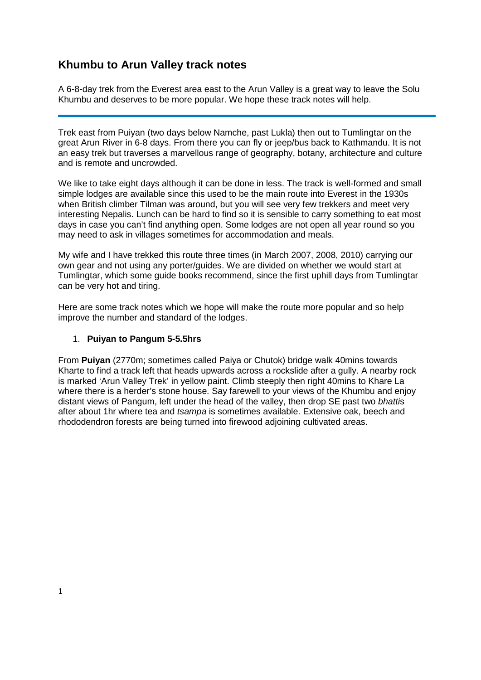# **Khumbu to Arun Valley track notes**

A 6-8-day trek from the Everest area east to the Arun Valley is a great way to leave the Solu Khumbu and deserves to be more popular. We hope these track notes will help.

Trek east from Puiyan (two days below Namche, past Lukla) then out to Tumlingtar on the great Arun River in 6-8 days. From there you can fly or jeep/bus back to Kathmandu. It is not an easy trek but traverses a marvellous range of geography, botany, architecture and culture and is remote and uncrowded.

We like to take eight days although it can be done in less. The track is well-formed and small simple lodges are available since this used to be the main route into Everest in the 1930s when British climber Tilman was around, but you will see very few trekkers and meet very interesting Nepalis. Lunch can be hard to find so it is sensible to carry something to eat most days in case you can't find anything open. Some lodges are not open all year round so you may need to ask in villages sometimes for accommodation and meals.

My wife and I have trekked this route three times (in March 2007, 2008, 2010) carrying our own gear and not using any porter/guides. We are divided on whether we would start at Tumlingtar, which some guide books recommend, since the first uphill days from Tumlingtar can be very hot and tiring.

Here are some track notes which we hope will make the route more popular and so help improve the number and standard of the lodges.

#### 1. **Puiyan to Pangum 5-5.5hrs**

From **Puiyan** (2770m; sometimes called Paiya or Chutok) bridge walk 40mins towards Kharte to find a track left that heads upwards across a rockslide after a gully. A nearby rock is marked 'Arun Valley Trek' in yellow paint. Climb steeply then right 40mins to Khare La where there is a herder's stone house. Say farewell to your views of the Khumbu and enjoy distant views of Pangum, left under the head of the valley, then drop SE past two *bhatti*s after about 1hr where tea and *tsampa* is sometimes available. Extensive oak, beech and rhododendron forests are being turned into firewood adjoining cultivated areas.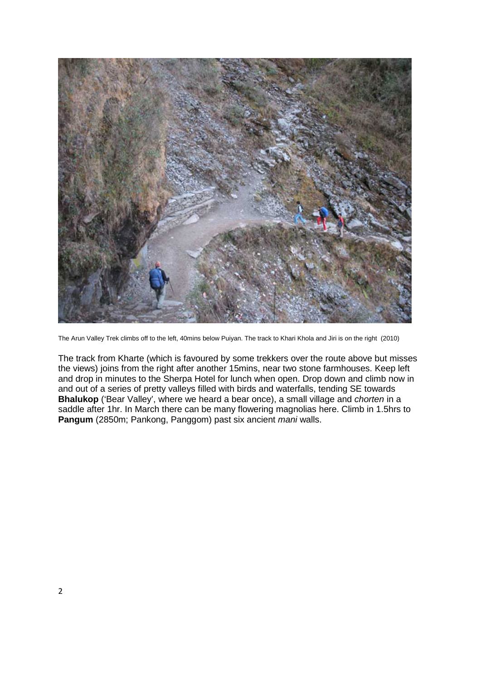

The Arun Valley Trek climbs off to the left, 40mins below Puiyan. The track to Khari Khola and Jiri is on the right (2010)

The track from Kharte (which is favoured by some trekkers over the route above but misses the views) joins from the right after another 15mins, near two stone farmhouses. Keep left and drop in minutes to the Sherpa Hotel for lunch when open. Drop down and climb now in and out of a series of pretty valleys filled with birds and waterfalls, tending SE towards **Bhalukop** ('Bear Valley', where we heard a bear once), a small village and *chorten* in a saddle after 1hr. In March there can be many flowering magnolias here. Climb in 1.5hrs to **Pangum** (2850m; Pankong, Panggom) past six ancient *mani* walls.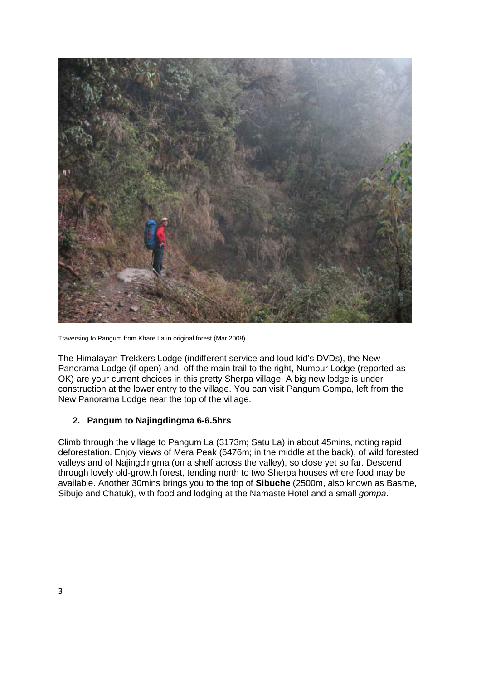

Traversing to Pangum from Khare La in original forest (Mar 2008)

The Himalayan Trekkers Lodge (indifferent service and loud kid's DVDs), the New Panorama Lodge (if open) and, off the main trail to the right, Numbur Lodge (reported as OK) are your current choices in this pretty Sherpa village. A big new lodge is under construction at the lower entry to the village. You can visit Pangum Gompa, left from the New Panorama Lodge near the top of the village.

### **2. Pangum to Najingdingma 6-6.5hrs**

Climb through the village to Pangum La (3173m; Satu La) in about 45mins, noting rapid deforestation. Enjoy views of Mera Peak (6476m; in the middle at the back), of wild forested valleys and of Najingdingma (on a shelf across the valley), so close yet so far. Descend through lovely old-growth forest, tending north to two Sherpa houses where food may be available. Another 30mins brings you to the top of **Sibuche** (2500m, also known as Basme, Sibuje and Chatuk), with food and lodging at the Namaste Hotel and a small *gompa*.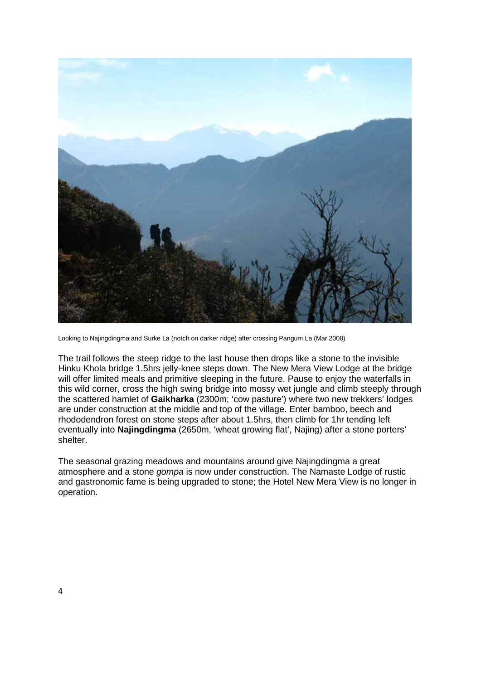

Looking to Najingdingma and Surke La (notch on darker ridge) after crossing Pangum La (Mar 2008)

The trail follows the steep ridge to the last house then drops like a stone to the invisible Hinku Khola bridge 1.5hrs jelly-knee steps down. The New Mera View Lodge at the bridge will offer limited meals and primitive sleeping in the future. Pause to enjoy the waterfalls in this wild corner, cross the high swing bridge into mossy wet jungle and climb steeply through the scattered hamlet of **Gaikharka** (2300m; 'cow pasture') where two new trekkers' lodges are under construction at the middle and top of the village. Enter bamboo, beech and rhododendron forest on stone steps after about 1.5hrs, then climb for 1hr tending left eventually into **Najingdingma** (2650m, 'wheat growing flat', Najing) after a stone porters' shelter.

The seasonal grazing meadows and mountains around give Najingdingma a great atmosphere and a stone *gompa* is now under construction. The Namaste Lodge of rustic and gastronomic fame is being upgraded to stone; the Hotel New Mera View is no longer in operation.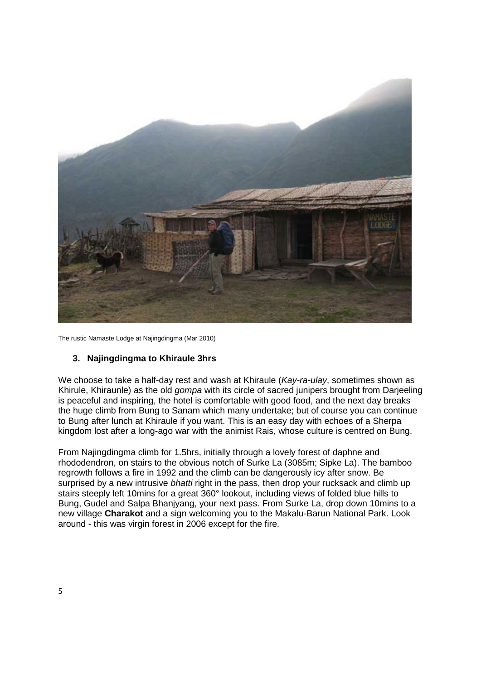

The rustic Namaste Lodge at Najingdingma (Mar 2010)

#### **3. Najingdingma to Khiraule 3hrs**

We choose to take a half-day rest and wash at Khiraule (*Kay-ra-ulay*, sometimes shown as Khirule, Khiraunle) as the old *gompa* with its circle of sacred junipers brought from Darjeeling is peaceful and inspiring, the hotel is comfortable with good food, and the next day breaks the huge climb from Bung to Sanam which many undertake; but of course you can continue to Bung after lunch at Khiraule if you want. This is an easy day with echoes of a Sherpa kingdom lost after a long-ago war with the animist Rais, whose culture is centred on Bung.

From Najingdingma climb for 1.5hrs, initially through a lovely forest of daphne and rhododendron, on stairs to the obvious notch of Surke La (3085m; Sipke La). The bamboo regrowth follows a fire in 1992 and the climb can be dangerously icy after snow. Be surprised by a new intrusive *bhatti* right in the pass, then drop your rucksack and climb up stairs steeply left 10mins for a great 360° lookout, including views of folded blue hills to Bung, Gudel and Salpa Bhanjyang, your next pass. From Surke La, drop down 10mins to a new village **Charakot** and a sign welcoming you to the Makalu-Barun National Park. Look around - this was virgin forest in 2006 except for the fire.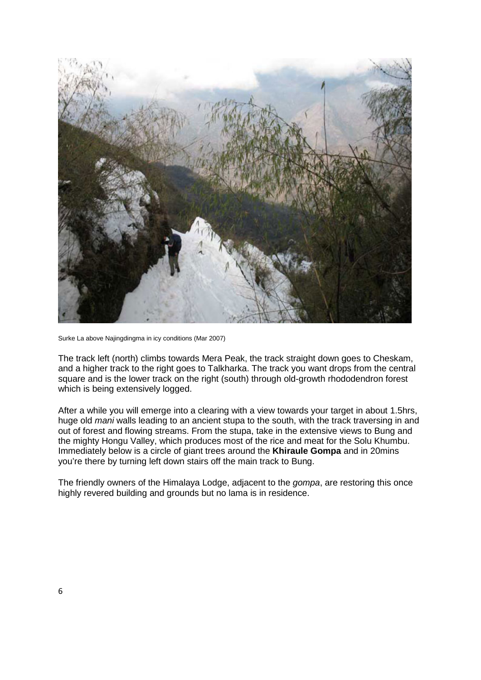

Surke La above Najingdingma in icy conditions (Mar 2007)

The track left (north) climbs towards Mera Peak, the track straight down goes to Cheskam, and a higher track to the right goes to Talkharka. The track you want drops from the central square and is the lower track on the right (south) through old-growth rhododendron forest which is being extensively logged.

After a while you will emerge into a clearing with a view towards your target in about 1.5hrs, huge old *mani* walls leading to an ancient stupa to the south, with the track traversing in and out of forest and flowing streams. From the stupa, take in the extensive views to Bung and the mighty Hongu Valley, which produces most of the rice and meat for the Solu Khumbu. Immediately below is a circle of giant trees around the **Khiraule Gompa** and in 20mins you're there by turning left down stairs off the main track to Bung.

The friendly owners of the Himalaya Lodge, adjacent to the *gompa*, are restoring this once highly revered building and grounds but no lama is in residence.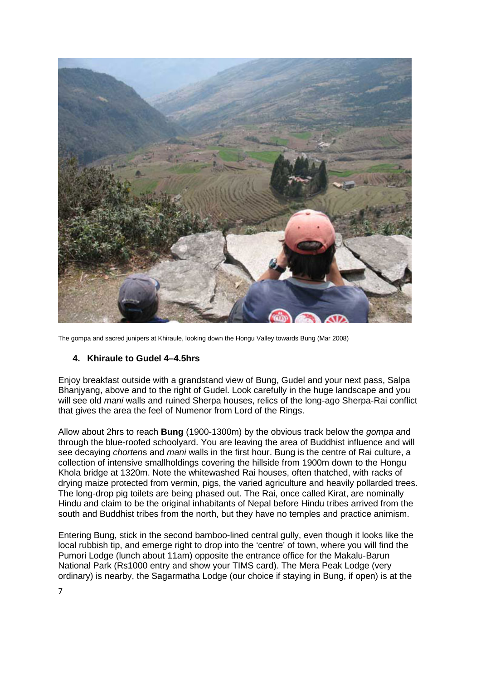

The gompa and sacred junipers at Khiraule, looking down the Hongu Valley towards Bung (Mar 2008)

### **4. Khiraule to Gudel 4–4.5hrs**

Enjoy breakfast outside with a grandstand view of Bung, Gudel and your next pass, Salpa Bhanjyang, above and to the right of Gudel. Look carefully in the huge landscape and you will see old *mani* walls and ruined Sherpa houses, relics of the long-ago Sherpa-Rai conflict that gives the area the feel of Numenor from Lord of the Rings.

Allow about 2hrs to reach **Bung** (1900-1300m) by the obvious track below the *gompa* and through the blue-roofed schoolyard. You are leaving the area of Buddhist influence and will see decaying *chorten*s and *mani* walls in the first hour. Bung is the centre of Rai culture, a collection of intensive smallholdings covering the hillside from 1900m down to the Hongu Khola bridge at 1320m. Note the whitewashed Rai houses, often thatched, with racks of drying maize protected from vermin, pigs, the varied agriculture and heavily pollarded trees. The long-drop pig toilets are being phased out. The Rai, once called Kirat, are nominally Hindu and claim to be the original inhabitants of Nepal before Hindu tribes arrived from the south and Buddhist tribes from the north, but they have no temples and practice animism.

Entering Bung, stick in the second bamboo-lined central gully, even though it looks like the local rubbish tip, and emerge right to drop into the 'centre' of town, where you will find the Pumori Lodge (lunch about 11am) opposite the entrance office for the Makalu-Barun National Park (Rs1000 entry and show your TIMS card). The Mera Peak Lodge (very ordinary) is nearby, the Sagarmatha Lodge (our choice if staying in Bung, if open) is at the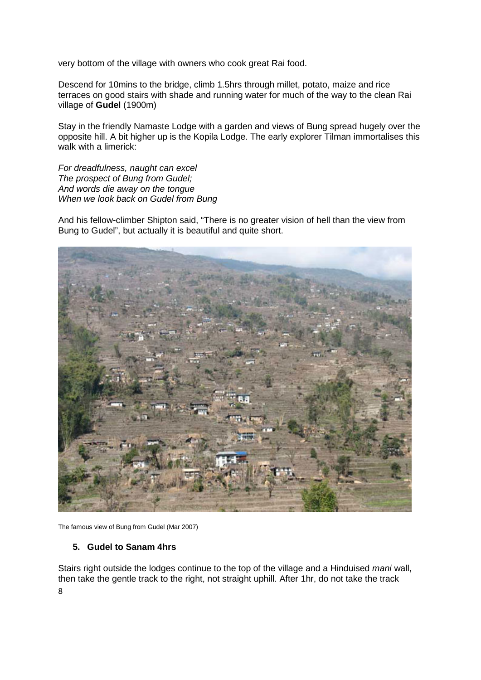very bottom of the village with owners who cook great Rai food.

Descend for 10mins to the bridge, climb 1.5hrs through millet, potato, maize and rice terraces on good stairs with shade and running water for much of the way to the clean Rai village of **Gudel** (1900m)

Stay in the friendly Namaste Lodge with a garden and views of Bung spread hugely over the opposite hill. A bit higher up is the Kopila Lodge. The early explorer Tilman immortalises this walk with a limerick:

*For dreadfulness, naught can excel The prospect of Bung from Gudel; And words die away on the tongue When we look back on Gudel from Bung*

And his fellow-climber Shipton said, "There is no greater vision of hell than the view from Bung to Gudel", but actually it is beautiful and quite short.



The famous view of Bung from Gudel (Mar 2007)

#### **5. Gudel to Sanam 4hrs**

8 Stairs right outside the lodges continue to the top of the village and a Hinduised *mani* wall, then take the gentle track to the right, not straight uphill. After 1hr, do not take the track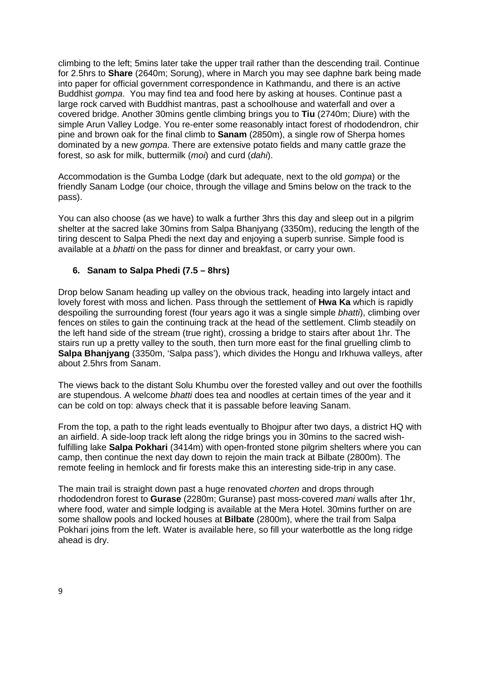climbing to the left; 5mins later take the upper trail rather than the descending trail. Continue for 2.5hrs to **Share** (2640m; Sorung), where in March you may see daphne bark being made into paper for official government correspondence in Kathmandu, and there is an active Buddhist *gompa*. You may find tea and food here by asking at houses. Continue past a large rock carved with Buddhist mantras, past a schoolhouse and waterfall and over a covered bridge. Another 30mins gentle climbing brings you to **Tiu** (2740m; Diure) with the simple Arun Valley Lodge. You re-enter some reasonably intact forest of rhododendron, chir pine and brown oak for the final climb to **Sanam** (2850m), a single row of Sherpa homes dominated by a new *gompa*. There are extensive potato fields and many cattle graze the forest, so ask for milk, buttermilk (*moi*) and curd (*dahi*).

Accommodation is the Gumba Lodge (dark but adequate, next to the old *gompa*) or the friendly Sanam Lodge (our choice, through the village and 5mins below on the track to the pass).

You can also choose (as we have) to walk a further 3hrs this day and sleep out in a pilgrim shelter at the sacred lake 30mins from Salpa Bhanjyang (3350m), reducing the length of the tiring descent to Salpa Phedi the next day and enjoying a superb sunrise. Simple food is available at a *bhatti* on the pass for dinner and breakfast, or carry your own.

### **6. Sanam to Salpa Phedi (7.5 – 8hrs)**

Drop below Sanam heading up valley on the obvious track, heading into largely intact and lovely forest with moss and lichen. Pass through the settlement of **Hwa Ka** which is rapidly despoiling the surrounding forest (four years ago it was a single simple *bhatti*), climbing over fences on stiles to gain the continuing track at the head of the settlement. Climb steadily on the left hand side of the stream (true right), crossing a bridge to stairs after about 1hr. The stairs run up a pretty valley to the south, then turn more east for the final gruelling climb to **Salpa Bhanjyang** (3350m, 'Salpa pass'), which divides the Hongu and Irkhuwa valleys, after about 2.5hrs from Sanam.

The views back to the distant Solu Khumbu over the forested valley and out over the foothills are stupendous. A welcome *bhatti* does tea and noodles at certain times of the year and it can be cold on top: always check that it is passable before leaving Sanam.

From the top, a path to the right leads eventually to Bhojpur after two days, a district HQ with an airfield. A side-loop track left along the ridge brings you in 30mins to the sacred wishfulfilling lake **Salpa Pokhari** (3414m) with open-fronted stone pilgrim shelters where you can camp, then continue the next day down to rejoin the main track at Bilbate (2800m). The remote feeling in hemlock and fir forests make this an interesting side-trip in any case.

The main trail is straight down past a huge renovated *chorten* and drops through rhododendron forest to **Gurase** (2280m; Guranse) past moss-covered *mani* walls after 1hr, where food, water and simple lodging is available at the Mera Hotel. 30mins further on are some shallow pools and locked houses at **Bilbate** (2800m), where the trail from Salpa Pokhari joins from the left. Water is available here, so fill your waterbottle as the long ridge ahead is dry.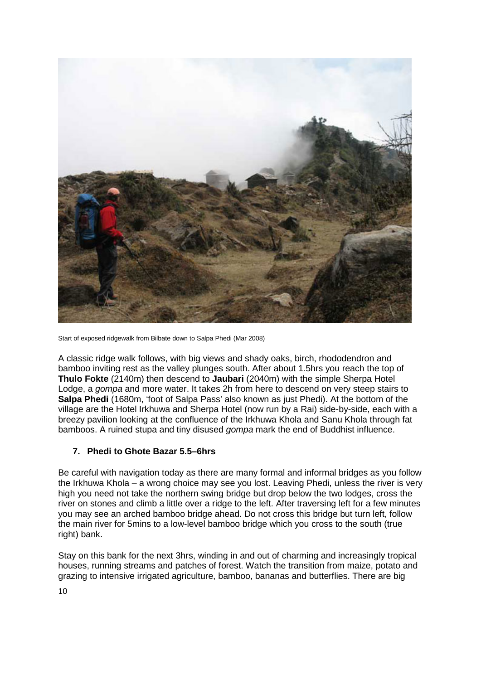

Start of exposed ridgewalk from Bilbate down to Salpa Phedi (Mar 2008)

A classic ridge walk follows, with big views and shady oaks, birch, rhododendron and bamboo inviting rest as the valley plunges south. After about 1.5hrs you reach the top of **Thulo Fokte** (2140m) then descend to **Jaubari** (2040m) with the simple Sherpa Hotel Lodge, a *gompa* and more water. It takes 2h from here to descend on very steep stairs to **Salpa Phedi** (1680m, 'foot of Salpa Pass' also known as just Phedi). At the bottom of the village are the Hotel Irkhuwa and Sherpa Hotel (now run by a Rai) side-by-side, each with a breezy pavilion looking at the confluence of the Irkhuwa Khola and Sanu Khola through fat bamboos. A ruined stupa and tiny disused *gompa* mark the end of Buddhist influence.

## **7. Phedi to Ghote Bazar 5.5–6hrs**

Be careful with navigation today as there are many formal and informal bridges as you follow the Irkhuwa Khola – a wrong choice may see you lost. Leaving Phedi, unless the river is very high you need not take the northern swing bridge but drop below the two lodges, cross the river on stones and climb a little over a ridge to the left. After traversing left for a few minutes you may see an arched bamboo bridge ahead. Do not cross this bridge but turn left, follow the main river for 5mins to a low-level bamboo bridge which you cross to the south (true right) bank.

Stay on this bank for the next 3hrs, winding in and out of charming and increasingly tropical houses, running streams and patches of forest. Watch the transition from maize, potato and grazing to intensive irrigated agriculture, bamboo, bananas and butterflies. There are big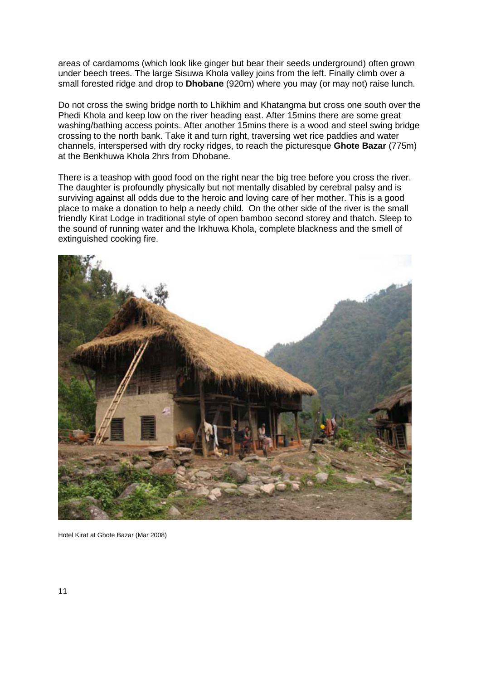areas of cardamoms (which look like ginger but bear their seeds underground) often grown under beech trees. The large Sisuwa Khola valley joins from the left. Finally climb over a small forested ridge and drop to **Dhobane** (920m) where you may (or may not) raise lunch.

Do not cross the swing bridge north to Lhikhim and Khatangma but cross one south over the Phedi Khola and keep low on the river heading east. After 15mins there are some great washing/bathing access points. After another 15mins there is a wood and steel swing bridge crossing to the north bank. Take it and turn right, traversing wet rice paddies and water channels, interspersed with dry rocky ridges, to reach the picturesque **Ghote Bazar** (775m) at the Benkhuwa Khola 2hrs from Dhobane.

There is a teashop with good food on the right near the big tree before you cross the river. The daughter is profoundly physically but not mentally disabled by cerebral palsy and is surviving against all odds due to the heroic and loving care of her mother. This is a good place to make a donation to help a needy child. On the other side of the river is the small friendly Kirat Lodge in traditional style of open bamboo second storey and thatch. Sleep to the sound of running water and the Irkhuwa Khola, complete blackness and the smell of extinguished cooking fire.



Hotel Kirat at Ghote Bazar (Mar 2008)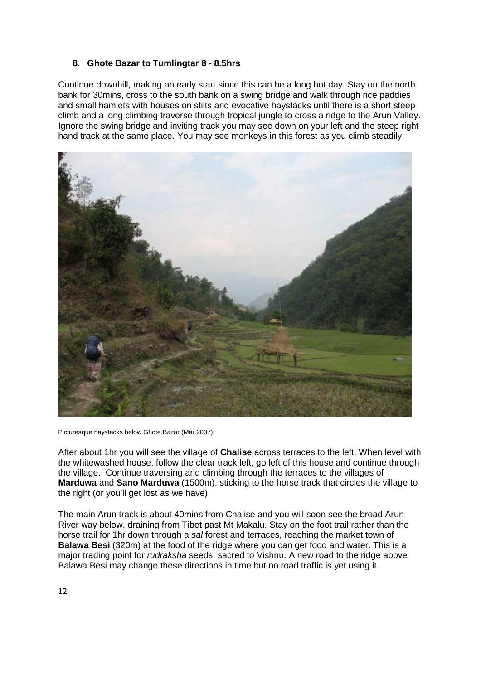## **8. Ghote Bazar to Tumlingtar 8 - 8.5hrs**

Continue downhill, making an early start since this can be a long hot day. Stay on the north bank for 30mins, cross to the south bank on a swing bridge and walk through rice paddies and small hamlets with houses on stilts and evocative haystacks until there is a short steep climb and a long climbing traverse through tropical jungle to cross a ridge to the Arun Valley. Ignore the swing bridge and inviting track you may see down on your left and the steep right hand track at the same place. You may see monkeys in this forest as you climb steadily.



Picturesque haystacks below Ghote Bazar (Mar 2007)

After about 1hr you will see the village of **Chalise** across terraces to the left. When level with the whitewashed house, follow the clear track left, go left of this house and continue through the village. Continue traversing and climbing through the terraces to the villages of **Marduwa** and **Sano Marduwa** (1500m), sticking to the horse track that circles the village to the right (or you'll get lost as we have).

The main Arun track is about 40mins from Chalise and you will soon see the broad Arun River way below, draining from Tibet past Mt Makalu. Stay on the foot trail rather than the horse trail for 1hr down through a *sal* forest and terraces, reaching the market town of **Balawa Besi** (320m) at the food of the ridge where you can get food and water. This is a major trading point for *rudraksha* seeds, sacred to Vishnu. A new road to the ridge above Balawa Besi may change these directions in time but no road traffic is yet using it.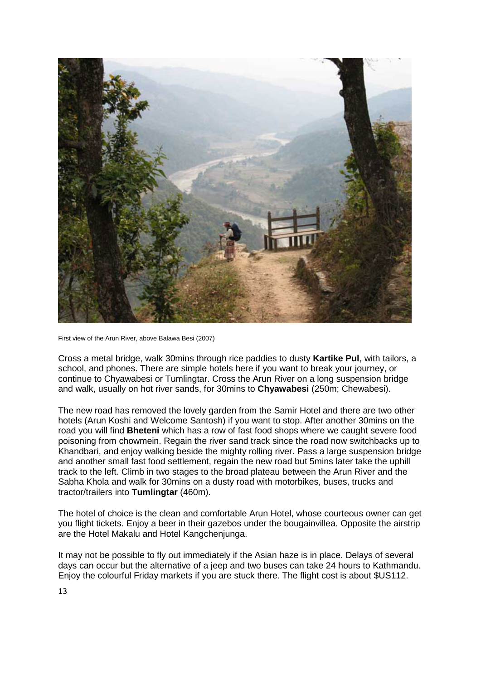

First view of the Arun River, above Balawa Besi (2007)

Cross a metal bridge, walk 30mins through rice paddies to dusty **Kartike Pul**, with tailors, a school, and phones. There are simple hotels here if you want to break your journey, or continue to Chyawabesi or Tumlingtar. Cross the Arun River on a long suspension bridge and walk, usually on hot river sands, for 30mins to **Chyawabesi** (250m; Chewabesi).

The new road has removed the lovely garden from the Samir Hotel and there are two other hotels (Arun Koshi and Welcome Santosh) if you want to stop. After another 30mins on the road you will find **Bheteni** which has a row of fast food shops where we caught severe food poisoning from chowmein. Regain the river sand track since the road now switchbacks up to Khandbari, and enjoy walking beside the mighty rolling river. Pass a large suspension bridge and another small fast food settlement, regain the new road but 5mins later take the uphill track to the left. Climb in two stages to the broad plateau between the Arun River and the Sabha Khola and walk for 30mins on a dusty road with motorbikes, buses, trucks and tractor/trailers into **Tumlingtar** (460m).

The hotel of choice is the clean and comfortable Arun Hotel, whose courteous owner can get you flight tickets. Enjoy a beer in their gazebos under the bougainvillea. Opposite the airstrip are the Hotel Makalu and Hotel Kangchenjunga.

It may not be possible to fly out immediately if the Asian haze is in place. Delays of several days can occur but the alternative of a jeep and two buses can take 24 hours to Kathmandu. Enjoy the colourful Friday markets if you are stuck there. The flight cost is about \$US112.